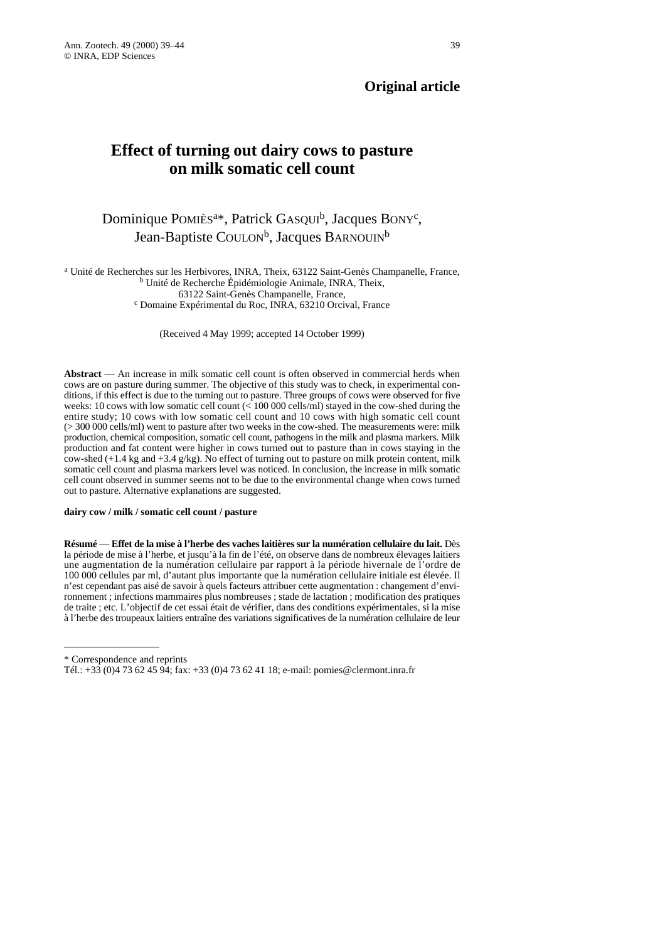## **Original article**

# **Effect of turning out dairy cows to pasture on milk somatic cell count**

## Dominique POMIÈS<sup>a\*</sup>, Patrick GASQUI<sup>b</sup>, Jacques BONY<sup>c</sup>, Jean-Baptiste COULON<sup>b</sup>, Jacques BARNOUIN<sup>b</sup>

<sup>a</sup> Unité de Recherches sur les Herbivores, INRA, Theix, 63122 Saint-Genès Champanelle, France, <sup>b</sup> Unité de Recherche Épidémiologie Animale, INRA, Theix,

63122 Saint-Genès Champanelle, France, <sup>c</sup> Domaine Expérimental du Roc, INRA, 63210 Orcival, France

(Received 4 May 1999; accepted 14 October 1999)

**Abstract** — An increase in milk somatic cell count is often observed in commercial herds when cows are on pasture during summer. The objective of this study was to check, in experimental conditions, if this effect is due to the turning out to pasture. Three groups of cows were observed for five weeks: 10 cows with low somatic cell count (< 100 000 cells/ml) stayed in the cow-shed during the entire study; 10 cows with low somatic cell count and 10 cows with high somatic cell count (> 300 000 cells/ml) went to pasture after two weeks in the cow-shed. The measurements were: milk production, chemical composition, somatic cell count, pathogens in the milk and plasma markers. Milk production and fat content were higher in cows turned out to pasture than in cows staying in the cow-shed (+1.4 kg and +3.4 g/kg). No effect of turning out to pasture on milk protein content, milk somatic cell count and plasma markers level was noticed. In conclusion, the increase in milk somatic cell count observed in summer seems not to be due to the environmental change when cows turned out to pasture. Alternative explanations are suggested.

#### **dairy cow / milk / somatic cell count / pasture**

**Résumé** — **Effet de la mise à l'herbe des vaches laitières sur la numération cellulaire du lait.** Dès la période de mise à l'herbe, et jusqu'à la fin de l'été, on observe dans de nombreux élevages laitiers une augmentation de la numération cellulaire par rapport à la période hivernale de l'ordre de 100 000 cellules par ml, d'autant plus importante que la numération cellulaire initiale est élevée. Il n'est cependant pas aisé de savoir à quels facteurs attribuer cette augmentation : changement d'environnement ; infections mammaires plus nombreuses ; stade de lactation ; modification des pratiques de traite ; etc. L'objectif de cet essai était de vérifier, dans des conditions expérimentales, si la mise à l'herbe des troupeaux laitiers entraîne des variations significatives de la numération cellulaire de leur

<sup>\*</sup> Correspondence and reprints

Tél.: +33 (0)4 73 62 45 94; fax: +33 (0)4 73 62 41 18; e-mail: pomies@clermont.inra.fr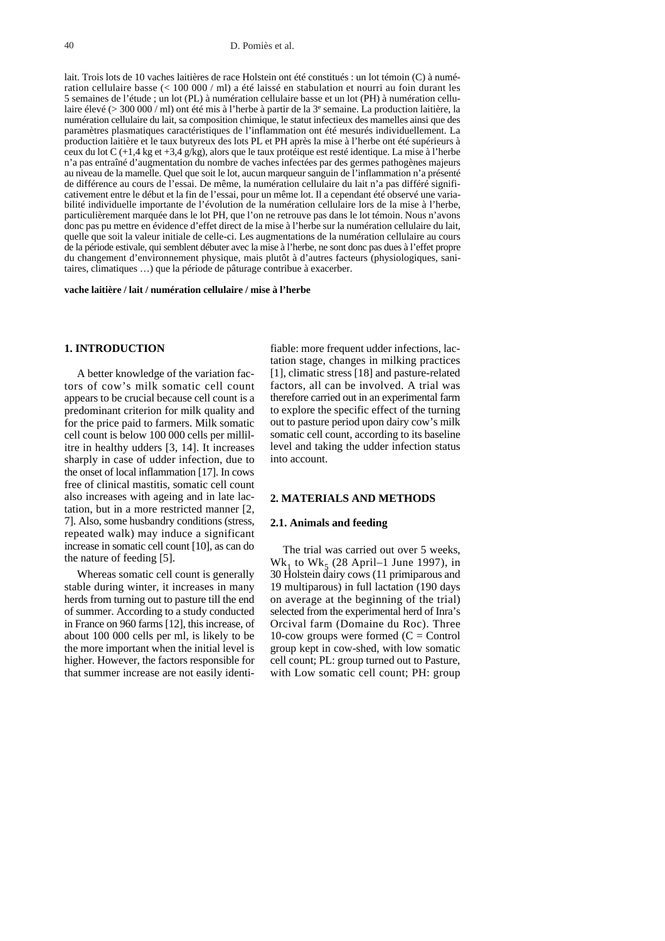#### 40 D. Pomiès et al.

lait. Trois lots de 10 vaches laitières de race Holstein ont été constitués : un lot témoin (C) à numération cellulaire basse (< 100 000 / ml) a été laissé en stabulation et nourri au foin durant les 5 semaines de l'étude ; un lot (PL) à numération cellulaire basse et un lot (PH) à numération cellulaire élevé (> 300 000 / ml) ont été mis à l'herbe à partir de la 3e semaine. La production laitière, la numération cellulaire du lait, sa composition chimique, le statut infectieux des mamelles ainsi que des paramètres plasmatiques caractéristiques de l'inflammation ont été mesurés individuellement. La production laitière et le taux butyreux des lots PL et PH après la mise à l'herbe ont été supérieurs à ceux du lot C (+1,4 kg et +3,4 g/kg), alors que le taux protéique est resté identique. La mise à l'herbe n'a pas entraîné d'augmentation du nombre de vaches infectées par des germes pathogènes majeurs au niveau de la mamelle. Quel que soit le lot, aucun marqueur sanguin de l'inflammation n'a présenté de différence au cours de l'essai. De même, la numération cellulaire du lait n'a pas différé significativement entre le début et la fin de l'essai, pour un même lot. Il a cependant été observé une variabilité individuelle importante de l'évolution de la numération cellulaire lors de la mise à l'herbe, particulièrement marquée dans le lot PH, que l'on ne retrouve pas dans le lot témoin. Nous n'avons donc pas pu mettre en évidence d'effet direct de la mise à l'herbe sur la numération cellulaire du lait, quelle que soit la valeur initiale de celle-ci. Les augmentations de la numération cellulaire au cours de la période estivale, qui semblent débuter avec la mise à l'herbe, ne sont donc pas dues à l'effet propre du changement d'environnement physique, mais plutôt à d'autres facteurs (physiologiques, sanitaires, climatiques …) que la période de pâturage contribue à exacerber.

#### **vache laitière / lait / numération cellulaire / mise à l'herbe**

#### **1. INTRODUCTION**

A better knowledge of the variation factors of cow's milk somatic cell count appears to be crucial because cell count is a predominant criterion for milk quality and for the price paid to farmers. Milk somatic cell count is below 100 000 cells per millilitre in healthy udders [3, 14]. It increases sharply in case of udder infection, due to the onset of local inflammation [17]. In cows free of clinical mastitis, somatic cell count also increases with ageing and in late lactation, but in a more restricted manner [2, 7]. Also, some husbandry conditions (stress, repeated walk) may induce a significant increase in somatic cell count [10], as can do the nature of feeding [5].

Whereas somatic cell count is generally stable during winter, it increases in many herds from turning out to pasture till the end of summer. According to a study conducted in France on 960 farms [12], this increase, of about 100 000 cells per ml, is likely to be the more important when the initial level is higher. However, the factors responsible for that summer increase are not easily identi-

fiable: more frequent udder infections, lactation stage, changes in milking practices [1], climatic stress [18] and pasture-related factors, all can be involved. A trial was therefore carried out in an experimental farm to explore the specific effect of the turning out to pasture period upon dairy cow's milk somatic cell count, according to its baseline level and taking the udder infection status into account.

### **2. MATERIALS AND METHODS**

#### **2.1. Animals and feeding**

The trial was carried out over 5 weeks,  $Wk_1$  to  $Wk_5$  (28 April–1 June 1997), in 30 Holstein dairy cows (11 primiparous and 19 multiparous) in full lactation (190 days on average at the beginning of the trial) selected from the experimental herd of Inra's Orcival farm (Domaine du Roc). Three 10-cow groups were formed  $(C = Control)$ group kept in cow-shed, with low somatic cell count; PL: group turned out to Pasture, with Low somatic cell count; PH: group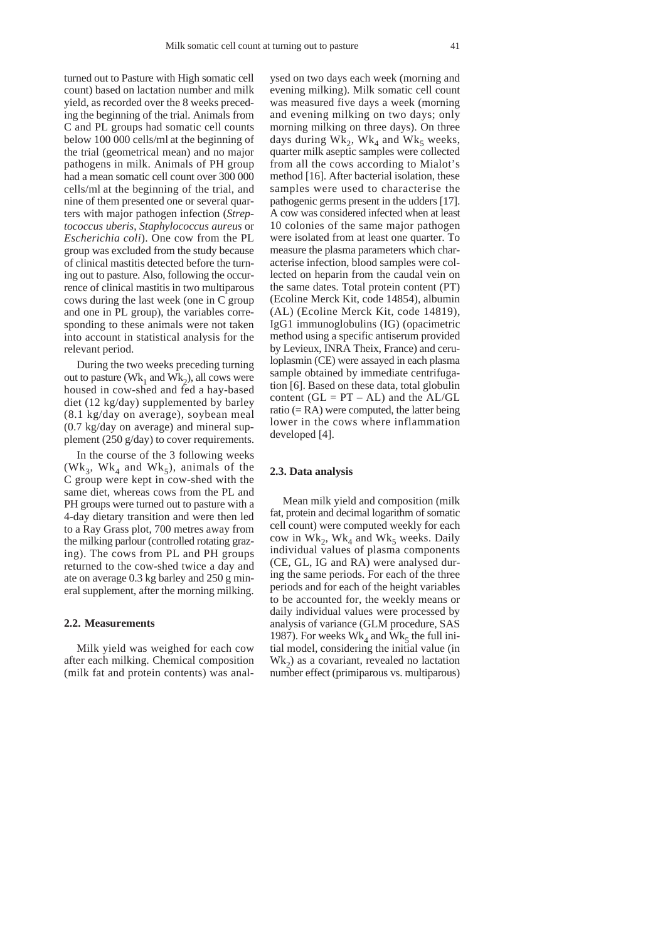turned out to Pasture with High somatic cell count) based on lactation number and milk yield, as recorded over the 8 weeks preceding the beginning of the trial. Animals from C and PL groups had somatic cell counts below 100 000 cells/ml at the beginning of the trial (geometrical mean) and no major pathogens in milk. Animals of PH group had a mean somatic cell count over 300 000 cells/ml at the beginning of the trial, and nine of them presented one or several quarters with major pathogen infection (*Streptococcus uberis*, *Staphylococcus aureus* or *Escherichia coli*). One cow from the PL group was excluded from the study because of clinical mastitis detected before the turning out to pasture. Also, following the occurrence of clinical mastitis in two multiparous cows during the last week (one in C group and one in PL group), the variables corresponding to these animals were not taken into account in statistical analysis for the relevant period.

During the two weeks preceding turning out to pasture ( $Wk_1$  and  $Wk_2$ ), all cows were housed in cow-shed and fed a hay-based diet (12 kg/day) supplemented by barley (8.1 kg/day on average), soybean meal (0.7 kg/day on average) and mineral supplement (250 g/day) to cover requirements.

In the course of the 3 following weeks (Wk<sub>3</sub>, Wk<sub>4</sub> and Wk<sub>5</sub>), animals of the C group were kept in cow-shed with the same diet, whereas cows from the PL and PH groups were turned out to pasture with a 4-day dietary transition and were then led to a Ray Grass plot, 700 metres away from the milking parlour (controlled rotating grazing). The cows from PL and PH groups returned to the cow-shed twice a day and ate on average 0.3 kg barley and 250 g mineral supplement, after the morning milking.

#### **2.2. Measurements**

Milk yield was weighed for each cow after each milking. Chemical composition (milk fat and protein contents) was analysed on two days each week (morning and evening milking). Milk somatic cell count was measured five days a week (morning and evening milking on two days; only morning milking on three days). On three days during  $Wk_2$ ,  $Wk_4$  and  $Wk_5$  weeks, quarter milk aseptic samples were collected from all the cows according to Mialot's method [16]. After bacterial isolation, these samples were used to characterise the pathogenic germs present in the udders [17]. A cow was considered infected when at least 10 colonies of the same major pathogen were isolated from at least one quarter. To measure the plasma parameters which characterise infection, blood samples were collected on heparin from the caudal vein on the same dates. Total protein content (PT) (Ecoline Merck Kit, code 14854), albumin (AL) (Ecoline Merck Kit, code 14819), IgG1 immunoglobulins (IG) (opacimetric method using a specific antiserum provided by Levieux, INRA Theix, France) and ceruloplasmin (CE) were assayed in each plasma sample obtained by immediate centrifugation [6]. Based on these data, total globulin content  $(GL = PT - AL)$  and the  $AL/GL$ ratio  $(= RA)$  were computed, the latter being lower in the cows where inflammation developed [4].

### **2.3. Data analysis**

Mean milk yield and composition (milk fat, protein and decimal logarithm of somatic cell count) were computed weekly for each cow in Wk<sub>2</sub>, Wk<sub>4</sub> and Wk<sub>5</sub> weeks. Daily individual values of plasma components (CE, GL, IG and RA) were analysed during the same periods. For each of the three periods and for each of the height variables to be accounted for, the weekly means or daily individual values were processed by analysis of variance (GLM procedure, SAS 1987). For weeks  $Wk<sub>4</sub>$  and  $Wk<sub>5</sub>$  the full initial model, considering the initial value (in  $Wk<sub>2</sub>$ ) as a covariant, revealed no lactation number effect (primiparous vs. multiparous)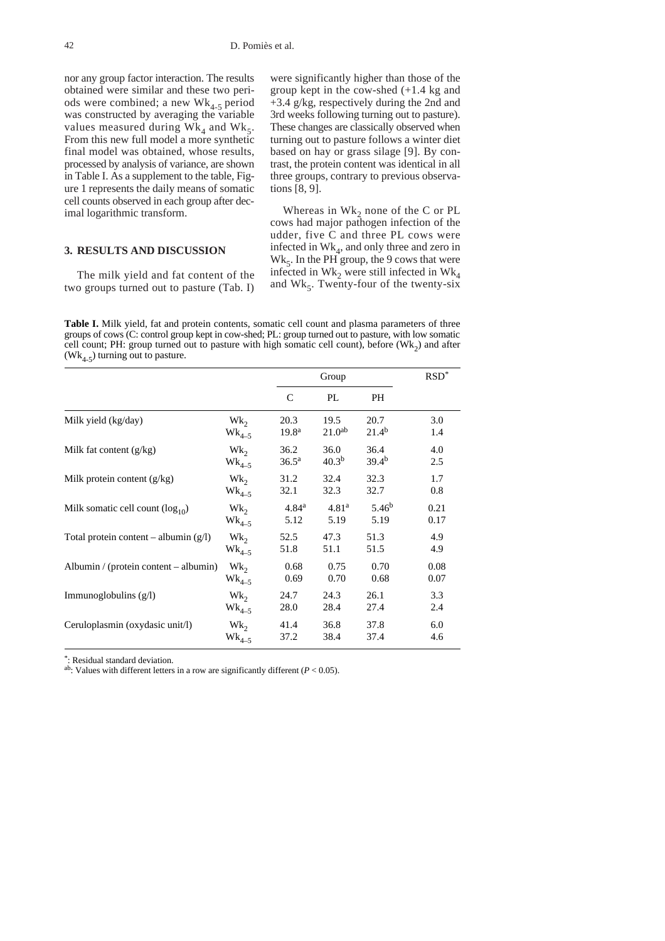nor any group factor interaction. The results obtained were similar and these two periods were combined; a new  $\text{Wk}_{4-5}$  period was constructed by averaging the variable values measured during  $\text{Wk}_4$  and  $\text{Wk}_5$ . From this new full model a more synthetic final model was obtained, whose results, processed by analysis of variance, are shown in Table I. As a supplement to the table, Figure 1 represents the daily means of somatic cell counts observed in each group after decimal logarithmic transform.

### **3. RESULTS AND DISCUSSION**

The milk yield and fat content of the two groups turned out to pasture (Tab. I) were significantly higher than those of the group kept in the cow-shed (+1.4 kg and +3.4 g/kg, respectively during the 2nd and 3rd weeks following turning out to pasture). These changes are classically observed when turning out to pasture follows a winter diet based on hay or grass silage [9]. By contrast, the protein content was identical in all three groups, contrary to previous observations [8, 9].

Whereas in  $Wk_2$  none of the C or PL cows had major pathogen infection of the udder, five C and three PL cows were infected in  $\text{Wk}_4$ , and only three and zero in  $Wk<sub>5</sub>$ . In the PH group, the 9 cows that were infected in Wk<sub>2</sub> were still infected in Wk<sub>4</sub> and  $\text{Wk}_5$ . Twenty-four of the twenty-six

**Table I.** Milk yield, fat and protein contents, somatic cell count and plasma parameters of three groups of cows (C: control group kept in cow-shed; PL: group turned out to pasture, with low somatic cell count; PH: group turned out to pasture with high somatic cell count), before  $(Wk<sub>2</sub>)$  and after  $(Wk_{4-5})$  turning out to pasture.

|                                         |                   | Group             |                    |                   | $RSD^*$ |
|-----------------------------------------|-------------------|-------------------|--------------------|-------------------|---------|
|                                         |                   | C                 | PL                 | PH                |         |
| Milk yield (kg/day)                     | $Wk_{2}$          | 20.3              | 19.5               | 20.7              | 3.0     |
|                                         | $\text{Wk}_{4-5}$ | 19.8 <sup>a</sup> | 21.0 <sup>ab</sup> | $21.4^{b}$        | 1.4     |
| Milk fat content $(g/kg)$               | $Wk_{2}$          | 36.2              | 36.0               | 36.4              | 4.0     |
|                                         | $Wk_{4-5}$        | $36.5^{\rm a}$    | 40.3 <sup>b</sup>  | 39.4 <sup>b</sup> | 2.5     |
| Milk protein content $(g/kg)$           | $Wk_{2}$          | 31.2              | 32.4               | 32.3              | 1.7     |
|                                         | $Wk_{4-5}$        | 32.1              | 32.3               | 32.7              | 0.8     |
| Milk somatic cell count $(\log_{10})$   | $Wk_{2}$          | 4.84 <sup>a</sup> | 4.81 <sup>a</sup>  | 5.46 <sup>b</sup> | 0.21    |
|                                         | $Wk_{4-5}$        | 5.12              | 5.19               | 5.19              | 0.17    |
| Total protein content – albumin $(g/l)$ | $Wk_{2}$          | 52.5              | 47.3               | 51.3              | 4.9     |
|                                         | $Wk_{4-5}$        | 51.8              | 51.1               | 51.5              | 4.9     |
| Albumin / (protein content – albumin)   | $Wk_{2}$          | 0.68              | 0.75               | 0.70              | 0.08    |
|                                         | $Wk_{4-5}$        | 0.69              | 0.70               | 0.68              | 0.07    |
| Immunoglobulins $(g/l)$                 | $Wk_{2}$          | 24.7              | 24.3               | 26.1              | 3.3     |
|                                         | $Wk_{4-5}$        | 28.0              | 28.4               | 27.4              | 2.4     |
| Ceruloplasmin (oxydasic unit/l)         | $Wk_{2}$          | 41.4              | 36.8               | 37.8              | 6.0     |
|                                         | $Wk_{4-5}$        | 37.2              | 38.4               | 37.4              | 4.6     |

\*: Residual standard deviation.

ab: Values with different letters in a row are significantly different (*P* < 0.05).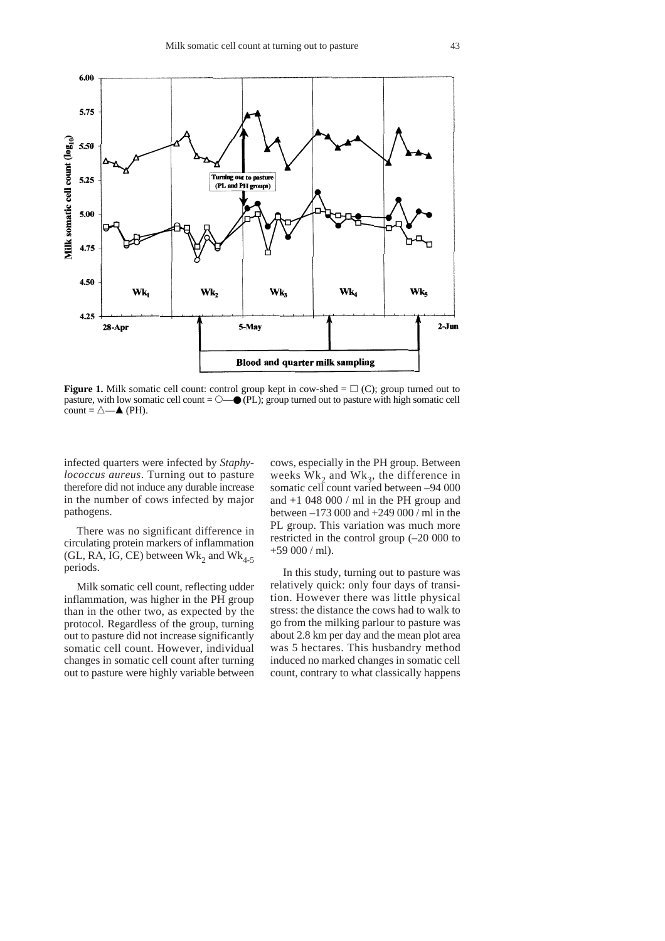

**Figure 1.** Milk somatic cell count: control group kept in cow-shed  $= \Box$  (C); group turned out to pasture, with low somatic cell count  $= \bigcirc$  (PL); group turned out to pasture with high somatic cell count =  $\triangle$ — $\triangle$  (PH).

infected quarters were infected by *Staphylococcus aureus*. Turning out to pasture therefore did not induce any durable increase in the number of cows infected by major pathogens.

There was no significant difference in circulating protein markers of inflammation (GL, RA, IG, CE) between  $Wk_2$  and  $Wk_{4-5}$ periods.

Milk somatic cell count, reflecting udder inflammation, was higher in the PH group than in the other two, as expected by the protocol. Regardless of the group, turning out to pasture did not increase significantly somatic cell count. However, individual changes in somatic cell count after turning out to pasture were highly variable between cows, especially in the PH group. Between weeks  $Wk<sub>2</sub>$  and  $Wk<sub>3</sub>$ , the difference in somatic cell count varied between –94 000 and +1 048 000 / ml in the PH group and between –173 000 and +249 000 / ml in the PL group. This variation was much more restricted in the control group (–20 000 to  $+59000$  / ml).

In this study, turning out to pasture was relatively quick: only four days of transition. However there was little physical stress: the distance the cows had to walk to go from the milking parlour to pasture was about 2.8 km per day and the mean plot area was 5 hectares. This husbandry method induced no marked changes in somatic cell count, contrary to what classically happens